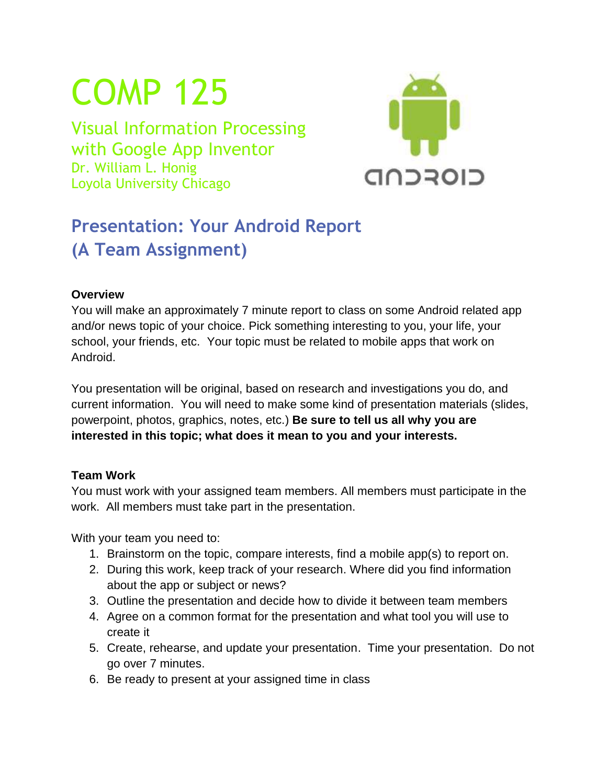# COMP 125

Visual Information Processing with Google App Inventor Dr. William L. Honig Loyola University Chicago



# **Presentation: Your Android Report (A Team Assignment)**

## **Overview**

You will make an approximately 7 minute report to class on some Android related app and/or news topic of your choice. Pick something interesting to you, your life, your school, your friends, etc. Your topic must be related to mobile apps that work on Android.

You presentation will be original, based on research and investigations you do, and current information. You will need to make some kind of presentation materials (slides, powerpoint, photos, graphics, notes, etc.) **Be sure to tell us all why you are interested in this topic; what does it mean to you and your interests.**

## **Team Work**

You must work with your assigned team members. All members must participate in the work. All members must take part in the presentation.

With your team you need to:

- 1. Brainstorm on the topic, compare interests, find a mobile app(s) to report on.
- 2. During this work, keep track of your research. Where did you find information about the app or subject or news?
- 3. Outline the presentation and decide how to divide it between team members
- 4. Agree on a common format for the presentation and what tool you will use to create it
- 5. Create, rehearse, and update your presentation. Time your presentation. Do not go over 7 minutes.
- 6. Be ready to present at your assigned time in class